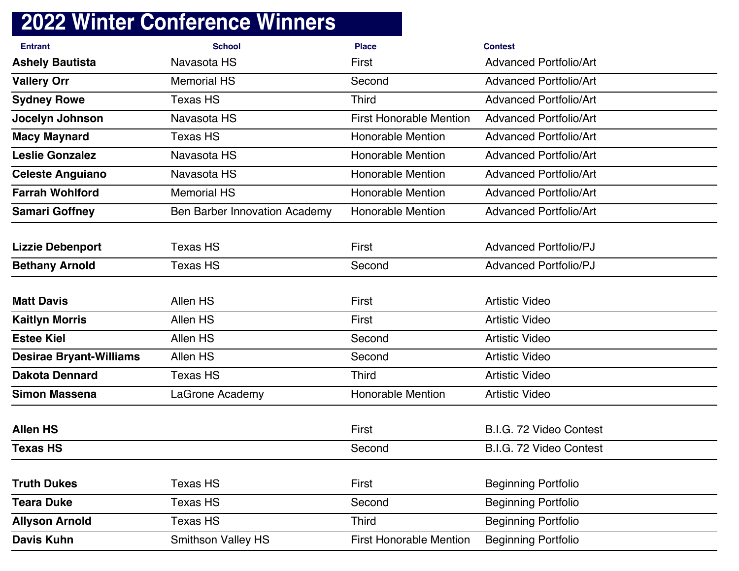| <b>Entrant</b>                 | <b>School</b>                 | <b>Place</b>                   | <b>Contest</b>                |
|--------------------------------|-------------------------------|--------------------------------|-------------------------------|
| <b>Ashely Bautista</b>         | Navasota HS                   | First                          | <b>Advanced Portfolio/Art</b> |
| <b>Vallery Orr</b>             | <b>Memorial HS</b>            | Second                         | <b>Advanced Portfolio/Art</b> |
| <b>Sydney Rowe</b>             | <b>Texas HS</b>               | <b>Third</b>                   | <b>Advanced Portfolio/Art</b> |
| Jocelyn Johnson                | Navasota HS                   | <b>First Honorable Mention</b> | <b>Advanced Portfolio/Art</b> |
| <b>Macy Maynard</b>            | <b>Texas HS</b>               | <b>Honorable Mention</b>       | <b>Advanced Portfolio/Art</b> |
| <b>Leslie Gonzalez</b>         | Navasota HS                   | <b>Honorable Mention</b>       | <b>Advanced Portfolio/Art</b> |
| <b>Celeste Anguiano</b>        | Navasota HS                   | <b>Honorable Mention</b>       | <b>Advanced Portfolio/Art</b> |
| <b>Farrah Wohlford</b>         | <b>Memorial HS</b>            | <b>Honorable Mention</b>       | <b>Advanced Portfolio/Art</b> |
| <b>Samari Goffney</b>          | Ben Barber Innovation Academy | <b>Honorable Mention</b>       | <b>Advanced Portfolio/Art</b> |
|                                |                               |                                |                               |
| <b>Lizzie Debenport</b>        | <b>Texas HS</b>               | First                          | <b>Advanced Portfolio/PJ</b>  |
| <b>Bethany Arnold</b>          | <b>Texas HS</b>               | Second                         | <b>Advanced Portfolio/PJ</b>  |
|                                |                               |                                |                               |
| <b>Matt Davis</b>              | Allen HS                      | First                          | <b>Artistic Video</b>         |
| <b>Kaitlyn Morris</b>          | Allen HS                      | First                          | <b>Artistic Video</b>         |
| <b>Estee Kiel</b>              | Allen HS                      | Second                         | <b>Artistic Video</b>         |
| <b>Desirae Bryant-Williams</b> | Allen HS                      | Second                         | <b>Artistic Video</b>         |
| <b>Dakota Dennard</b>          | <b>Texas HS</b>               | <b>Third</b>                   | <b>Artistic Video</b>         |
| <b>Simon Massena</b>           | LaGrone Academy               | <b>Honorable Mention</b>       | <b>Artistic Video</b>         |
|                                |                               |                                |                               |
| <b>Allen HS</b>                |                               | First                          | B.I.G. 72 Video Contest       |
| <b>Texas HS</b>                |                               | Second                         | B.I.G. 72 Video Contest       |
|                                |                               |                                |                               |
| <b>Truth Dukes</b>             | Texas HS                      | First                          | <b>Beginning Portfolio</b>    |
| <b>Teara Duke</b>              | Texas HS                      | Second                         | <b>Beginning Portfolio</b>    |
| <b>Allyson Arnold</b>          | Texas HS                      | <b>Third</b>                   | <b>Beginning Portfolio</b>    |
| <b>Davis Kuhn</b>              | <b>Smithson Valley HS</b>     | <b>First Honorable Mention</b> | <b>Beginning Portfolio</b>    |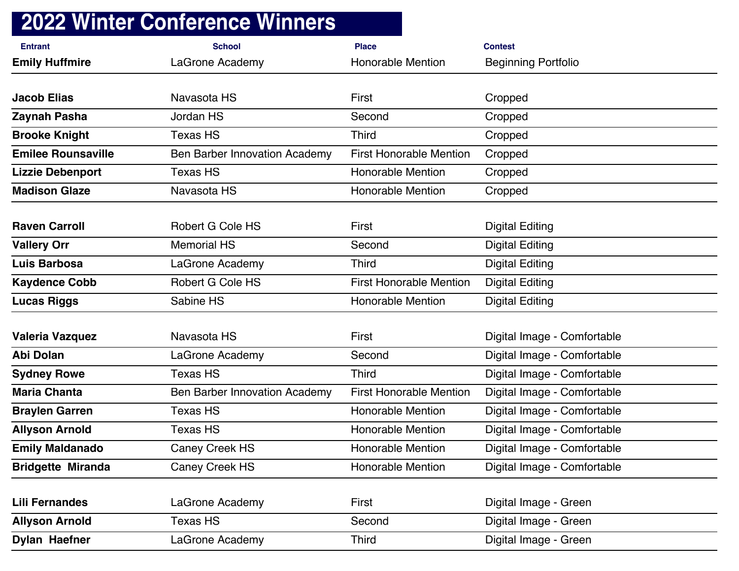| <b>Entrant</b>            | <b>School</b>                        | <b>Place</b>                   | <b>Contest</b>              |
|---------------------------|--------------------------------------|--------------------------------|-----------------------------|
| <b>Emily Huffmire</b>     | LaGrone Academy                      | <b>Honorable Mention</b>       | <b>Beginning Portfolio</b>  |
|                           |                                      |                                |                             |
| <b>Jacob Elias</b>        | Navasota HS                          | First                          | Cropped                     |
| Zaynah Pasha              | <b>Jordan HS</b>                     | Second                         | Cropped                     |
| <b>Brooke Knight</b>      | <b>Texas HS</b>                      | <b>Third</b>                   | Cropped                     |
| <b>Emilee Rounsaville</b> | <b>Ben Barber Innovation Academy</b> | <b>First Honorable Mention</b> | Cropped                     |
| <b>Lizzie Debenport</b>   | <b>Texas HS</b>                      | <b>Honorable Mention</b>       | Cropped                     |
| <b>Madison Glaze</b>      | Navasota HS                          | <b>Honorable Mention</b>       | Cropped                     |
|                           |                                      |                                |                             |
| <b>Raven Carroll</b>      | Robert G Cole HS                     | First                          | <b>Digital Editing</b>      |
| <b>Vallery Orr</b>        | <b>Memorial HS</b>                   | Second                         | <b>Digital Editing</b>      |
| <b>Luis Barbosa</b>       | LaGrone Academy                      | <b>Third</b>                   | <b>Digital Editing</b>      |
| <b>Kaydence Cobb</b>      | <b>Robert G Cole HS</b>              | <b>First Honorable Mention</b> | <b>Digital Editing</b>      |
| <b>Lucas Riggs</b>        | Sabine HS                            | <b>Honorable Mention</b>       | <b>Digital Editing</b>      |
| <b>Valeria Vazquez</b>    | Navasota HS                          | First                          | Digital Image - Comfortable |
| Abi Dolan                 | LaGrone Academy                      | Second                         | Digital Image - Comfortable |
| <b>Sydney Rowe</b>        | <b>Texas HS</b>                      | <b>Third</b>                   | Digital Image - Comfortable |
| <b>Maria Chanta</b>       | <b>Ben Barber Innovation Academy</b> | <b>First Honorable Mention</b> | Digital Image - Comfortable |
| <b>Braylen Garren</b>     | <b>Texas HS</b>                      | <b>Honorable Mention</b>       | Digital Image - Comfortable |
| <b>Allyson Arnold</b>     | <b>Texas HS</b>                      | <b>Honorable Mention</b>       | Digital Image - Comfortable |
| <b>Emily Maldanado</b>    | <b>Caney Creek HS</b>                | <b>Honorable Mention</b>       | Digital Image - Comfortable |
| <b>Bridgette Miranda</b>  | Caney Creek HS                       | <b>Honorable Mention</b>       | Digital Image - Comfortable |
|                           |                                      |                                |                             |
| <b>Lili Fernandes</b>     | LaGrone Academy                      | First                          | Digital Image - Green       |
| <b>Allyson Arnold</b>     | <b>Texas HS</b>                      | Second                         | Digital Image - Green       |
| <b>Dylan Haefner</b>      | LaGrone Academy                      | <b>Third</b>                   | Digital Image - Green       |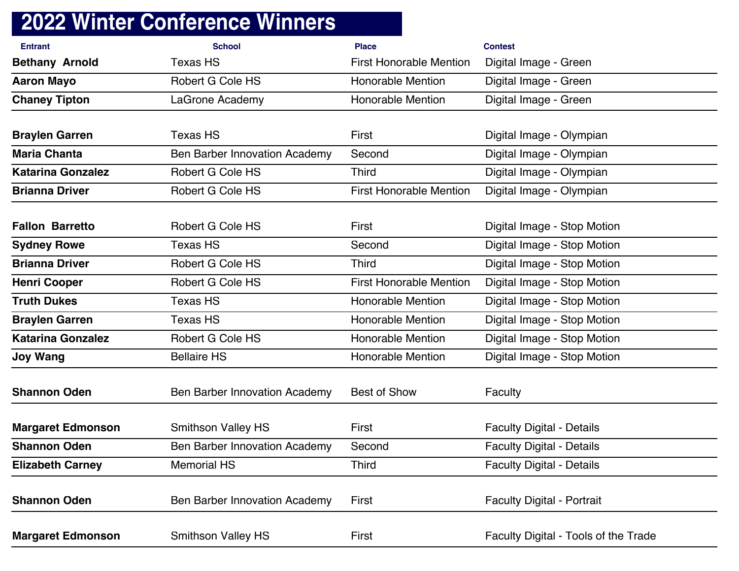| <b>Entrant</b>           | <b>School</b>                        | <b>Place</b>                   | <b>Contest</b>                       |
|--------------------------|--------------------------------------|--------------------------------|--------------------------------------|
| <b>Bethany Arnold</b>    | <b>Texas HS</b>                      | <b>First Honorable Mention</b> | Digital Image - Green                |
| <b>Aaron Mayo</b>        | <b>Robert G Cole HS</b>              | <b>Honorable Mention</b>       | Digital Image - Green                |
| <b>Chaney Tipton</b>     | LaGrone Academy                      | <b>Honorable Mention</b>       | Digital Image - Green                |
|                          |                                      |                                |                                      |
| <b>Braylen Garren</b>    | <b>Texas HS</b>                      | First                          | Digital Image - Olympian             |
| <b>Maria Chanta</b>      | Ben Barber Innovation Academy        | Second                         | Digital Image - Olympian             |
| <b>Katarina Gonzalez</b> | Robert G Cole HS                     | <b>Third</b>                   | Digital Image - Olympian             |
| <b>Brianna Driver</b>    | <b>Robert G Cole HS</b>              | <b>First Honorable Mention</b> | Digital Image - Olympian             |
| <b>Fallon Barretto</b>   | <b>Robert G Cole HS</b>              | First                          | Digital Image - Stop Motion          |
| <b>Sydney Rowe</b>       | <b>Texas HS</b>                      | Second                         | Digital Image - Stop Motion          |
| <b>Brianna Driver</b>    | <b>Robert G Cole HS</b>              | <b>Third</b>                   | Digital Image - Stop Motion          |
| <b>Henri Cooper</b>      | <b>Robert G Cole HS</b>              | <b>First Honorable Mention</b> | Digital Image - Stop Motion          |
| <b>Truth Dukes</b>       | <b>Texas HS</b>                      | <b>Honorable Mention</b>       | Digital Image - Stop Motion          |
| <b>Braylen Garren</b>    | <b>Texas HS</b>                      | <b>Honorable Mention</b>       | Digital Image - Stop Motion          |
| <b>Katarina Gonzalez</b> | Robert G Cole HS                     | <b>Honorable Mention</b>       | Digital Image - Stop Motion          |
| <b>Joy Wang</b>          | <b>Bellaire HS</b>                   | <b>Honorable Mention</b>       | Digital Image - Stop Motion          |
| <b>Shannon Oden</b>      | <b>Ben Barber Innovation Academy</b> | <b>Best of Show</b>            | Faculty                              |
| <b>Margaret Edmonson</b> | <b>Smithson Valley HS</b>            | First                          | <b>Faculty Digital - Details</b>     |
| <b>Shannon Oden</b>      | <b>Ben Barber Innovation Academy</b> | Second                         | <b>Faculty Digital - Details</b>     |
| <b>Elizabeth Carney</b>  | <b>Memorial HS</b>                   | <b>Third</b>                   | <b>Faculty Digital - Details</b>     |
| <b>Shannon Oden</b>      | <b>Ben Barber Innovation Academy</b> | First                          | <b>Faculty Digital - Portrait</b>    |
| <b>Margaret Edmonson</b> | <b>Smithson Valley HS</b>            | First                          | Faculty Digital - Tools of the Trade |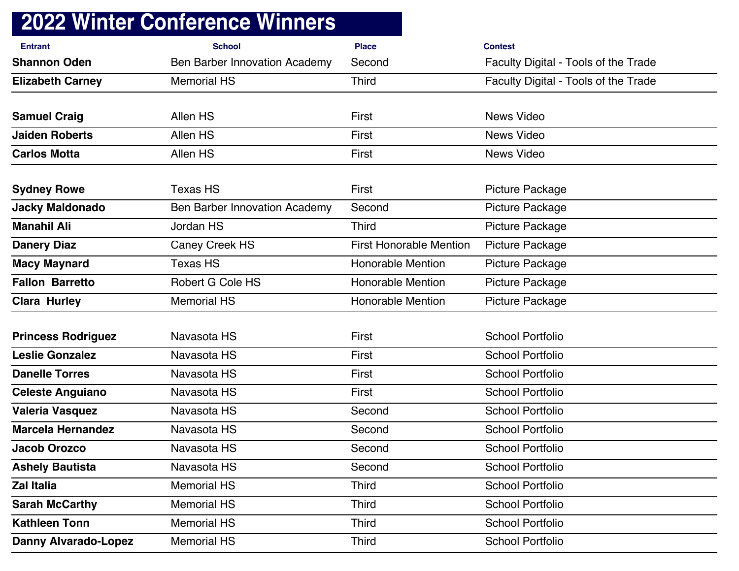|                             | <b>2022 Winter Conference Winners</b> |                                |                                      |
|-----------------------------|---------------------------------------|--------------------------------|--------------------------------------|
| <b>Entrant</b>              | <b>School</b>                         | <b>Place</b>                   | <b>Contest</b>                       |
| <b>Shannon Oden</b>         | <b>Ben Barber Innovation Academy</b>  | Second                         | Faculty Digital - Tools of the Trade |
| <b>Elizabeth Carney</b>     | <b>Memorial HS</b>                    | <b>Third</b>                   | Faculty Digital - Tools of the Trade |
| <b>Samuel Craig</b>         | Allen HS                              | First                          | News Video                           |
| <b>Jaiden Roberts</b>       | Allen HS                              | First                          | <b>News Video</b>                    |
| <b>Carlos Motta</b>         | Allen HS                              | First                          | <b>News Video</b>                    |
| <b>Sydney Rowe</b>          | <b>Texas HS</b>                       | First                          | Picture Package                      |
| <b>Jacky Maldonado</b>      | <b>Ben Barber Innovation Academy</b>  | Second                         | Picture Package                      |
| <b>Manahil Ali</b>          | Jordan HS                             | <b>Third</b>                   | <b>Picture Package</b>               |
| <b>Danery Diaz</b>          | Caney Creek HS                        | <b>First Honorable Mention</b> | Picture Package                      |
| <b>Macy Maynard</b>         | <b>Texas HS</b>                       | <b>Honorable Mention</b>       | Picture Package                      |
| <b>Fallon Barretto</b>      | <b>Robert G Cole HS</b>               | <b>Honorable Mention</b>       | Picture Package                      |
| <b>Clara Hurley</b>         | <b>Memorial HS</b>                    | <b>Honorable Mention</b>       | Picture Package                      |
| <b>Princess Rodriguez</b>   | Navasota HS                           | First                          | <b>School Portfolio</b>              |
| <b>Leslie Gonzalez</b>      | Navasota HS                           | First                          | <b>School Portfolio</b>              |
| <b>Danelle Torres</b>       | Navasota HS                           | First                          | <b>School Portfolio</b>              |
| <b>Celeste Anguiano</b>     | Navasota HS                           | First                          | <b>School Portfolio</b>              |
| <b>Valeria Vasquez</b>      | Navasota HS                           | Second                         | <b>School Portfolio</b>              |
| <b>Marcela Hernandez</b>    | Navasota HS                           | Second                         | School Portfolio                     |
| Jacob Orozco                | Navasota HS                           | Second                         | <b>School Portfolio</b>              |
| <b>Ashely Bautista</b>      | Navasota HS                           | Second                         | <b>School Portfolio</b>              |
| Zal Italia                  | <b>Memorial HS</b>                    | <b>Third</b>                   | <b>School Portfolio</b>              |
| <b>Sarah McCarthy</b>       | <b>Memorial HS</b>                    | <b>Third</b>                   | <b>School Portfolio</b>              |
| <b>Kathleen Tonn</b>        | <b>Memorial HS</b>                    | <b>Third</b>                   | <b>School Portfolio</b>              |
| <b>Danny Alvarado-Lopez</b> | <b>Memorial HS</b>                    | <b>Third</b>                   | <b>School Portfolio</b>              |